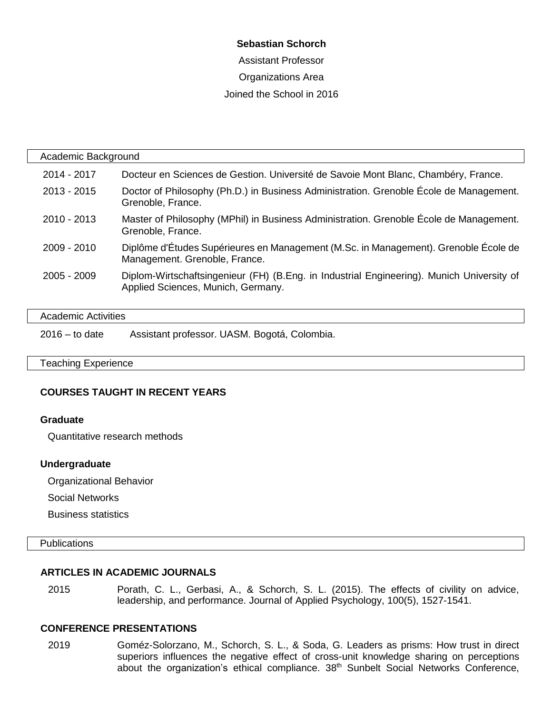### **Sebastian Schorch**

Assistant Professor Organizations Area Joined the School in 2016

| Academic Background |                                                                                                                                 |  |
|---------------------|---------------------------------------------------------------------------------------------------------------------------------|--|
| 2014 - 2017         | Docteur en Sciences de Gestion. Université de Savoie Mont Blanc, Chambéry, France.                                              |  |
| $2013 - 2015$       | Doctor of Philosophy (Ph.D.) in Business Administration. Grenoble École de Management.<br>Grenoble, France.                     |  |
| 2010 - 2013         | Master of Philosophy (MPhil) in Business Administration. Grenoble École de Management.<br>Grenoble, France.                     |  |
| 2009 - 2010         | Diplôme d'Études Supérieures en Management (M.Sc. in Management). Grenoble École de<br>Management. Grenoble, France.            |  |
| $2005 - 2009$       | Diplom-Wirtschaftsingenieur (FH) (B.Eng. in Industrial Engineering). Munich University of<br>Applied Sciences, Munich, Germany. |  |
|                     |                                                                                                                                 |  |

| Academic Activities |                                              |  |
|---------------------|----------------------------------------------|--|
| $2016 -$ to date    | Assistant professor. UASM. Bogotá, Colombia. |  |

#### Teaching Experience

#### **COURSES TAUGHT IN RECENT YEARS**

#### **Graduate**

Quantitative research methods

#### **Undergraduate**

Organizational Behavior

Social Networks

Business statistics

### **Publications**

#### **ARTICLES IN ACADEMIC JOURNALS**

2015 Porath, C. L., Gerbasi, A., & Schorch, S. L. (2015). The effects of civility on advice, leadership, and performance. Journal of Applied Psychology, 100(5), 1527-1541.

#### **CONFERENCE PRESENTATIONS**

2019 Goméz-Solorzano, M., Schorch, S. L., & Soda, G. Leaders as prisms: How trust in direct superiors influences the negative effect of cross-unit knowledge sharing on perceptions about the organization's ethical compliance. 38<sup>th</sup> Sunbelt Social Networks Conference,